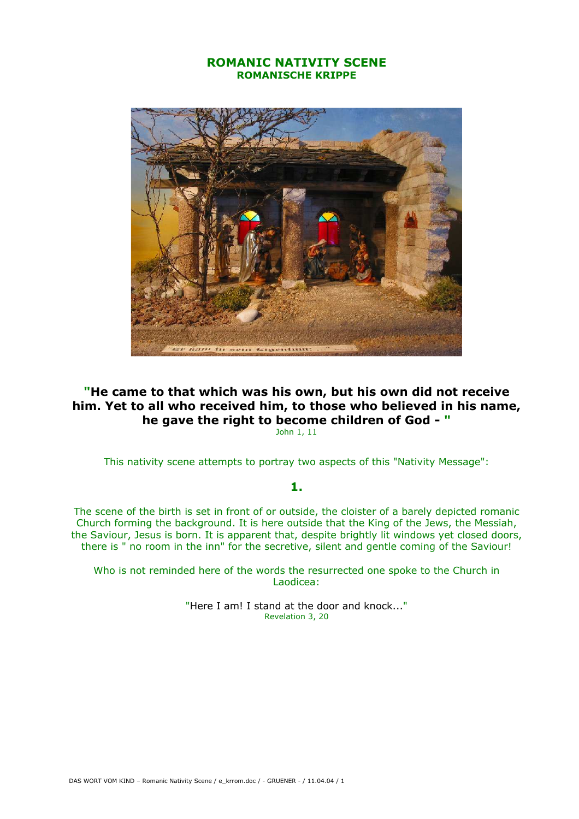## ROMANIC NATIVITY SCENE ROMANISCHE KRIPPE



## "He came to that which was his own, but his own did not receive him. Yet to all who received him, to those who believed in his name, he gave the right to become children of God - "

John 1, 11

This nativity scene attempts to portray two aspects of this "Nativity Message":

## 1.

The scene of the birth is set in front of or outside, the cloister of a barely depicted romanic Church forming the background. It is here outside that the King of the Jews, the Messiah, the Saviour, Jesus is born. It is apparent that, despite brightly lit windows yet closed doors, there is " no room in the inn" for the secretive, silent and gentle coming of the Saviour!

Who is not reminded here of the words the resurrected one spoke to the Church in Laodicea:

> "Here I am! I stand at the door and knock..." Revelation 3, 20